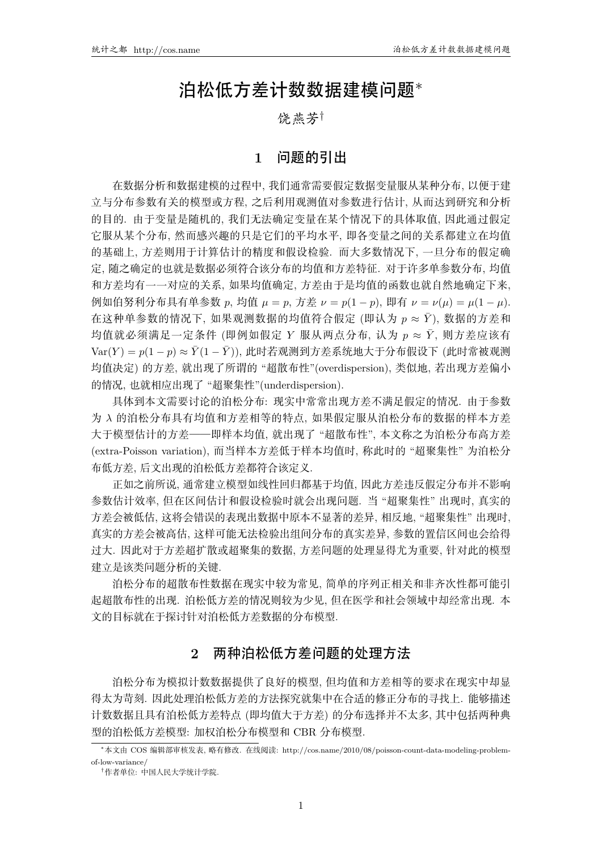# 泊松低方差计数数据建模问题*∗*

## 饶燕芳*†*

## **1** 问题的引出

在数据分析和数据建模的过程中, 我们通常需要假定数据变量服从某种分布, 以便于建 立与分布参数有关的模型或方程,之后利用观测值对参数进行估计,从而达到研究和分析 的目的. 由于变量是随机的, 我们无法确定变量在某个情况下的具体取值, 因此通过假定 它服从某个分布, 然而感兴趣的只是它们的平均水平, 即各变量之间的关系都建立在均值 的基础上, 方差则用于计算估计的精度和假设检验, 而大多数情况下, 一旦分布的假定确 定,随之确定的也就是数据必须符合该分布的均值和方差特征. 对于许多单参数分布, 均值 和方差均有一一对应的关系, 如果均值确定, 方差由于是均值的函数也就自然地确定下来,  $\mathcal{D}$ 如伯努利分布具有单参数 *p*, 均值  $\mu = p$ , 方差  $\nu = p(1-p)$ , 即有  $\nu = \nu(\mu) = \mu(1-\mu)$ . 在这种单参数的情况下, 如果观测数据的均值符合假定 (即认为 p ≈ Y), 数据的方差和 均值就必须满足一定条件 (即例如假定 Y 服从两点分布, 认为  $p \approx \bar{Y}$ , 则方差应该有  $Var(Y) = p(1-p) ≈ \bar{Y}(1-\bar{Y})$ ), 此时若观测到方差系统地大于分布假设下 (此时常被观测 均值决定)的方差, 就出现了所谓的"超散布性"(overdispersion), 类似地, 若出现方差偏小 的情况, 也就相应出现了 "超聚集性"(underdispersion).

具体到本文需要讨论的泊松分布: 现实中常常出现方差不满足假定的情况. 由于参数 为 入 的泊松分布具有均值和方差相等的特点, 如果假定服从泊松分布的数据的样本方差 大于模型估计的方差——即样本均值, 就出现了 "超散布性", 本文称之为泊松分布高方差 (extra-Poisson variation), 而当样本方差低于样本均值时, 称此时的"超聚集性"为泊松分 布低方差, 后文出现的泊松低方差都符合该定义.

正如之前所说, 通常建立模型如线性回归都基于均值, 因此方差违反假定分布并不影响 参数估计效率, 但在区间估计和假设检验时就会出现问题. 当 "超聚集性" 出现时, 真实的 方差会被低估, 这将会错误的表现出数据中原本不显著的差异, 相反地, "超聚集性" 出现时, 真实的方差会被高估,这样可能无法检验出组间分布的真实差异,参数的置信区间也会给得 过大. 因此对于方差超扩散或超聚集的数据, 方差问题的处理显得尤为重要, 针对此的模型 建立是该类问题分析的关键.

泊松分布的超散布性数据在现实中较为常见。简单的序列正相关和非齐次性都可能引 起超散布性的出现. 泊松低方差的情况则较为少见, 但在医学和社会领域中却经常出现. 本 文的目标就在于探讨针对泊松低方差数据的分布模型.

# **2** 两种泊松低方差问题的处理方法

泊松分布为模拟计数数据提供了良好的模型、但均值和方差相等的要求在现实中却显 得太为苛刻. 因此处理泊松低方差的方法探究就集中在合适的修正分布的寻找上. 能够描述 计数数据且具有泊松低方差特点(即均值大于方差)的分布选择并不太多, 其中包括两种典 型的泊松低方差模型: 加权泊松分布模型和 CBR 分布模型.

*<sup>\*</sup>*本文由 COS 编辑部审核发表, 略有修改, 在线阅读: http://cos.name/2010/08/poisson-count-data-modeling-problemof-low-variance/

<sup>&</sup>lt;sup>†</sup>作者单位: 中国人民大学统计学院.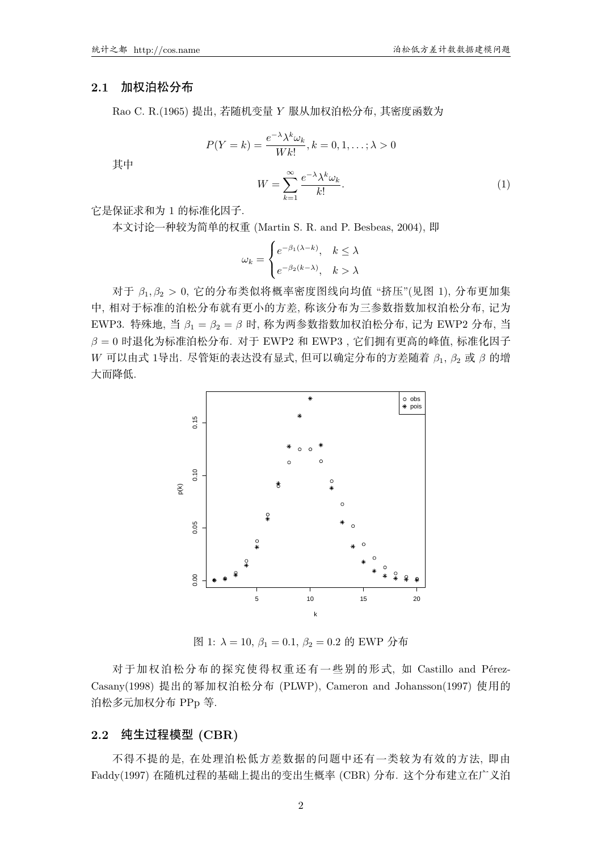#### **2.1** 加权泊松分布

其中

Rao C. R.(1965) 提出, 若随机变量 *Y* 服从加权泊松分布, 其密度函数为

$$
P(Y = k) = \frac{e^{-\lambda} \lambda^k \omega_k}{Wk!}, k = 0, 1, \dots; \lambda > 0
$$

$$
W = \sum_{k=0}^{\infty} \frac{e^{-\lambda} \lambda^k \omega_k}{k!}.
$$
(1)

它是保证求和为 1 的标准化因子. 本文讨论一种较为简单的权重 (Martin S. R. and P. Besbeas, 2004), 即

$$
\omega_k = \begin{cases} e^{-\beta_1(\lambda - k)}, & k \le \lambda \\ e^{-\beta_2(k - \lambda)}, & k > \lambda \end{cases}
$$

 $\overline{k-1}$ 

对于  $\beta_1, \beta_2 > 0$ , 它的分布类似将概率密度图线向均值 "挤压"(见图 1), 分布更加集 中, 相对于标准的泊松分布就有更小的方差, 称该分布为三参数指数加权泊松分布, 记为 EWP3. 特殊地, 当  $β_1 = β_2 = β$  时, 称为两参数指数加权泊松分布, 记为 EWP2 分布, 当  $\beta = 0$  时退化为标准泊松分布. 对于 EWP2 和 EWP3, 它们拥有更高的峰值, 标准化因子  $W$  可以由式 1导出. 尽管矩的表达没有显式, 但可以确定分布的方差随着 β1, β2 或 β 的增 大而降低.



 $[8]$  1:  $\lambda = 10$ ,  $\beta_1 = 0.1$ ,  $\beta_2 = 0.2$  的 EWP 分布

对于加权泊松分布的探究使得权重还有一些别的形式, 如 Castillo and Pérez-Casany(1998) 提出的幂加权泊松分布 (PLWP), Cameron and Johansson(1997) 使用的 泊松多元加权分布 PPp 等.

#### **2.2** 纯生过程模型 **(CBR)**

不得不提的是, 在处理泊松低方差数据的问题中还有一类较为有效的方法, 即由 Faddy(1997) 在随机过程的基础上提出的变出生概率 (CBR) 分布. 这个分布建立在广义泊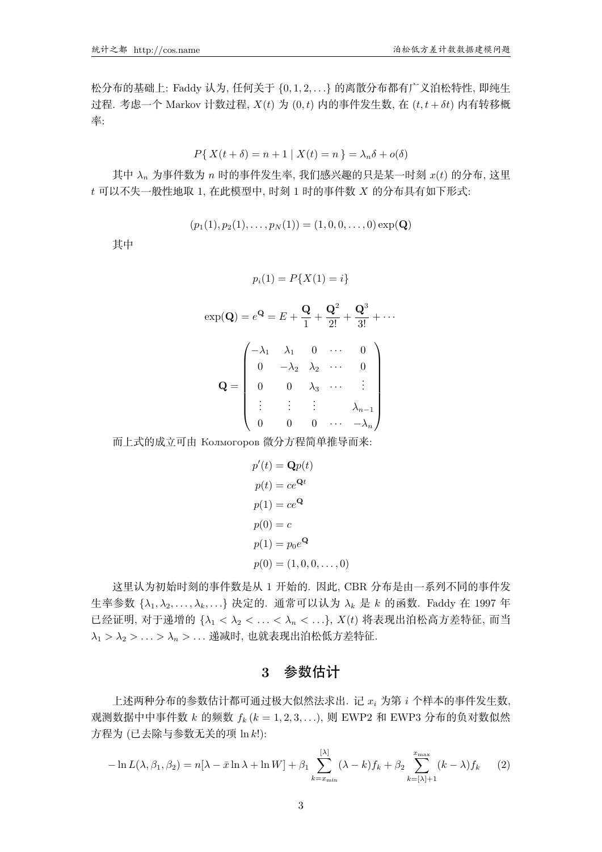松分布的基础上: Faddy 认为, 任何关于 {0,1,2, ...} 的离散分布都有广义泊松特性, 即纯生 过程. 考虑一个 Markov 计数过程,  $X(t)$  为 (0, t) 内的事件发生数, 在 (t, t + δt) 内有转移概 率:

$$
P\{X(t + \delta) = n + 1 | X(t) = n\} = \lambda_n \delta + o(\delta)
$$

其中 $\lambda_n$ 为事件数为 $n$  时的事件发生率, 我们感兴趣的只是某一时刻  $x(t)$  的分布, 这里  $t$  可以不失一般性地取 1, 在此模型中, 时刻 1 时的事件数  $X$  的分布具有如下形式:

$$
(p_1(1), p_2(1), \ldots, p_N(1)) = (1, 0, 0, \ldots, 0) \exp(\mathbf{Q})
$$

其中

$$
p_i(1) = P\{X(1) = i\}
$$

|  |  | $\exp(\mathbf{Q}) = e^{\mathbf{Q}} = E + \frac{\mathbf{Q}}{1} + \frac{\mathbf{Q}^2}{2!} + \frac{\mathbf{Q}^3}{3!} + \cdots$                                                                                                                           |
|--|--|-------------------------------------------------------------------------------------------------------------------------------------------------------------------------------------------------------------------------------------------------------|
|  |  | $\mathbf{Q} = \begin{pmatrix} -\lambda_1 & \lambda_1 & 0 & \cdots & 0 \\ 0 & -\lambda_2 & \lambda_2 & \cdots & 0 \\ 0 & 0 & \lambda_3 & \cdots & \vdots \\ \vdots & \vdots & \vdots & \lambda_{n-1} \\ 0 & 0 & 0 & \cdots & -\lambda_n \end{pmatrix}$ |
|  |  |                                                                                                                                                                                                                                                       |
|  |  |                                                                                                                                                                                                                                                       |
|  |  |                                                                                                                                                                                                                                                       |

而上式的成立可由 Колмогоров 微分方程简单推导而来:

$$
p'(t) = \mathbf{Q}p(t)
$$

$$
p(t) = ce^{\mathbf{Q}t}
$$

$$
p(1) = ce^{\mathbf{Q}}
$$

$$
p(0) = c
$$

$$
p(1) = p_0e^{\mathbf{Q}}
$$

$$
p(0) = (1, 0, 0, \dots, 0)
$$

这里认为初始时刻的事件数是从 1 开始的. 因此, CBR 分布是由一系列不同的事件发 生率参数 { $\lambda_1, \lambda_2, \ldots, \lambda_k, \ldots$ } 决定的. 通常可以认为  $\lambda_k$  是 k 的函数. Faddy 在 1997 年 已经证明, 对于递增的 { $\lambda_1 < \lambda_2 < \ldots < \lambda_n < \ldots$ },  $X(t)$  将表现出泊松高方差特征, 而当  $\lambda_1 > \lambda_2 > \ldots > \lambda_n > \ldots$ 递减时, 也就表现出泊松低方差特征.

## **3** 参数估计

上述两种分布的参数估计都可通过极大似然法求出. 记  $x_i$  为第  $i$  个样本的事件发生数, 观测数据中中事件数 k 的频数  $f_k$  ( $k = 1, 2, 3, \ldots$ ), 则 EWP2 和 EWP3 分布的负对数似然 方程为 (已去除与参数无关的项 ln k!):

$$
-\ln L(\lambda, \beta_1, \beta_2) = n[\lambda - \bar{x}\ln\lambda + \ln W] + \beta_1 \sum_{k=x_{\min}}^{[\lambda]} (\lambda - k)f_k + \beta_2 \sum_{k=[\lambda]+1}^{x_{\max}} (k - \lambda)f_k \qquad (2)
$$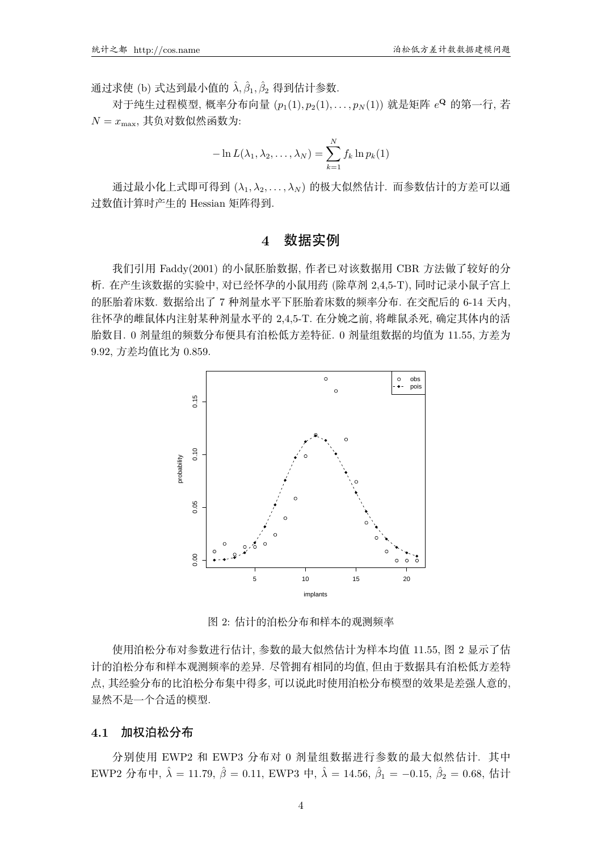通过求使 (b) 式达到最小值的  $\hat{\lambda}, \hat{\beta}_1, \hat{\beta}_2$  得到估计参数.

对于纯生过程模型, 概率分布向量  $(p_1(1), p_2(1), \ldots, p_N(1))$  就是矩阵  $e^{\mathbf{Q}}$  的第一行, 若  $N = x_{\text{max}}$ , 其负对数似然函数为:

$$
-\ln L(\lambda_1, \lambda_2, \dots, \lambda_N) = \sum_{k=1}^N f_k \ln p_k(1)
$$

通过最小化上式即可得到 ( $\lambda_1, \lambda_2, \ldots, \lambda_N$ ) 的极大似然估计, 而参数估计的方差可以通 过数值计算时产生的 Hessian 矩阵得到.

## **4** 数据实例

我们引用 Faddy(2001) 的小鼠胚胎数据, 作者已对该数据用 CBR 方法做了较好的分 析. 在产生该数据的实验中, 对已经怀孕的小鼠用药 (除草剂 2.4,5-T), 同时记录小鼠子宫上 的胚胎着床数. 数据给出了 7 种剂量水平下胚胎着床数的频率分布. 在交配后的 6-14 天内, 往怀孕的雌鼠体内注射某种剂量水平的 2,4,5-T. 在分娩之前, 将雌鼠杀死, 确定其体内的活 胎数目. 0 剂量组的频数分布便具有泊松低方差特征. 0 剂量组数据的均值为 11.55, 方差为 9.92, 方差均值比为 0.859.



图 2: 估计的泊松分布和样本的观测频率

使用泊松分布对参数进行估计, 参数的最大似然估计为样本均值 11.55, 图 2 显示了估 计的泊松分布和样本观测频率的差异. 尽管拥有相同的均值, 但由于数据具有泊松低方差特 点, 其经验分布的比泊松分布集中得多, 可以说此时使用泊松分布模型的效果是差强人意的, 显然不是一个合适的模型.

#### **4.1** 加权泊松分布

分别使用 EWP2 和 EWP3 分布对 0 剂量组数据进行参数的最大似然估计. 其中 EWP2 分布中,  $\hat{\lambda} = 11.79$ ,  $\hat{\beta} = 0.11$ , EWP3 中,  $\hat{\lambda} = 14.56$ ,  $\hat{\beta}_1 = -0.15$ ,  $\hat{\beta}_2 = 0.68$ , 估计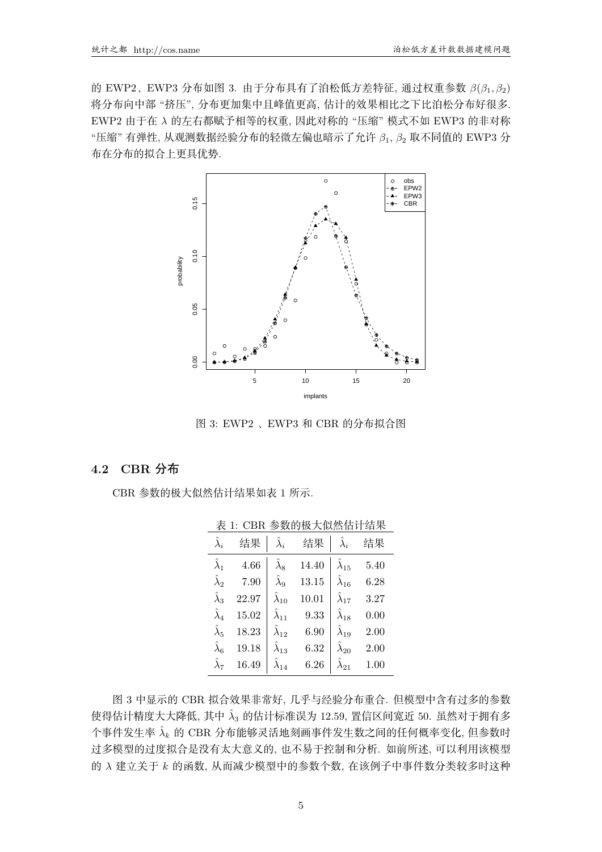的 EWP2、EWP3 分布如图 3. 由于分布具有了泊松低方差特征, 通过权重参数 β(β<sub>1</sub>, β<sub>2</sub>) 将分布向中部"挤压",分布更加集中且峰值更高,估计的效果相比之下比泊松分布好很多. EWP2 由于在 λ 的左右都赋予相等的权重, 因此对称的"压缩"模式不如 EWP3 的非对称 "压缩" 有弹性, 从观测数据经验分布的轻微左偏也暗示了允许  $β_1$ ,  $β_2$  取不同值的 EWP3 分 布在分布的拟合上更具优势.



图 3: EWP2、EWP3 和 CBR 的分布拟合图

#### **4.2 CBR** 分布

CBR 参数的极大似然估计结果如表 1 所示.

| 农 1. UDI\ 多双H)似八凶盗旧开事本 |       |                      |       |                      |      |  |  |  |
|------------------------|-------|----------------------|-------|----------------------|------|--|--|--|
| $\hat{\lambda}_i$      | 结果    | $\hat{\lambda}_i$    | 结果    | $\hat{\lambda}_i$    | 结果   |  |  |  |
| $\hat{\lambda}_1$      | 4.66  | $\lambda_8$          | 14.40 | $\hat{\lambda}_{15}$ | 5.40 |  |  |  |
| $\hat{\lambda}_2$      | 7.90  | $\hat{\lambda}_9$    | 13.15 | $\hat{\lambda}_{16}$ | 6.28 |  |  |  |
| $\hat{\lambda}_3$      | 22.97 | $\hat{\lambda}_{10}$ | 10.01 | $\hat{\lambda}_{17}$ | 3.27 |  |  |  |
| $\hat{\lambda}_4$      | 15.02 | $\hat{\lambda}_{11}$ | 9.33  | $\hat{\lambda}_{18}$ | 0.00 |  |  |  |
| $\hat{\lambda}_5$      | 18.23 | $\hat{\lambda}_{12}$ | 6.90  | $\hat{\lambda}_{19}$ | 2.00 |  |  |  |
| $\hat{\lambda}_6$      | 19.18 | $\hat{\lambda}_{13}$ | 6.32  | $\hat{\lambda}_{20}$ | 2.00 |  |  |  |
| $\hat{\lambda}_7$      | 16.49 | $\lambda_{14}$       | 6.26  | $\lambda_{21}$       | 1.00 |  |  |  |

主 1. CDD 金粉的挺十的雄壮壮独用

图 3 中显示的 CBR 拟合效果非常好, 几乎与经验分布重合. 但模型中含有过多的参数 使得估计精度大大降低, 其中  $\hat{\lambda}_3$  的估计标准误为 12.59, 置信区间宽近 50. 虽然对于拥有多  $\wedge$ 事件发生率  $\hat{\lambda}_k$  的 CBR 分布能够灵活地刻画事件发生数之间的任何概率变化, 但参数时 过多模型的过度拟合是没有太大意义的, 也不易于控制和分析. 如前所述, 可以利用该模型 的 λ 建立关于 k 的函数, 从而减少模型中的参数个数, 在该例子中事件数分类较多时这种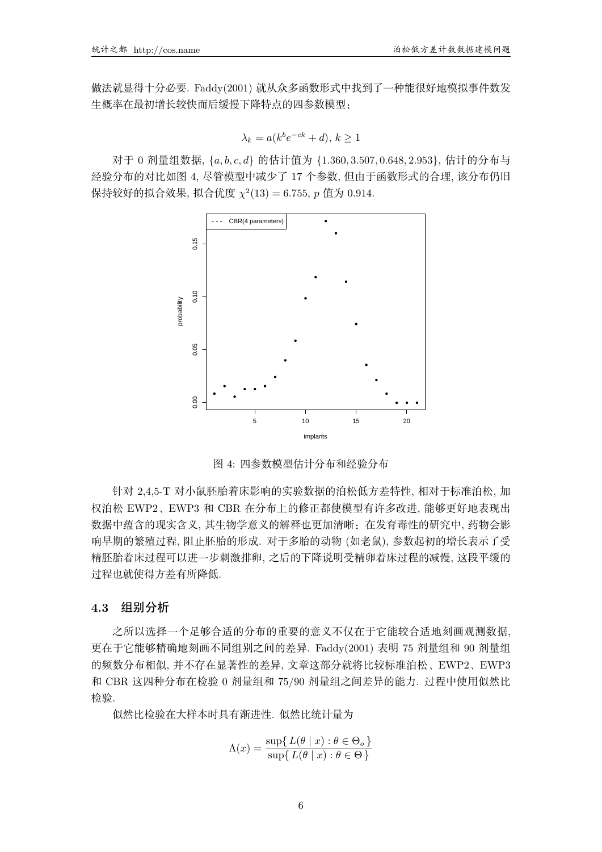做法就显得十分必要. Faddy(2001) 就从众多函数形式中找到了一种能很好地模拟事件数发 生概率在最初增长较快而后缓慢下降特点的四参数模型:

$$
\lambda_k = a(k^b e^{-ck} + d), k \ge 1
$$

 $\overline{X}$  7 0 剂量组数据, { $a, b, c, d$ } 的估计值为 {1.360, 3.507, 0.648, 2.953}, 估计的分布与 经验分布的对比如图 4, 尽管模型中减少了 17 个参数, 但由于函数形式的合理, 该分布仍旧 保持较好的拟合效果, 拟合优度 χ<sup>2</sup>(13) = 6.755, p 值为 0.914.



图 4: 四参数模型估计分布和经验分布

针对 2.4.5-T 对小鼠胚胎着床影响的实验数据的泊松低方差特性, 相对于标准泊松, 加 权泊松 EWP2、EWP3 和 CBR 在分布上的修正都使模型有许多改进, 能够更好地表现出 数据中蕴含的现实含义, 其生物学意义的解释也更加清晰: 在发育毒性的研究中, 药物会影 响早期的繁殖过程, 阻止胚胎的形成. 对于多胎的动物 (如老鼠), 参数起初的增长表示了受 精胚胎着床过程可以进一步刺激排卵, 之后的下降说明受精卵着床过程的减慢, 这段平缓的 讨程也就使得方差有所降低.

#### **4.3** 组别分析

之所以选择一个足够合适的分布的重要的意义不仅在于它能较合适地刻画观测数据、 更在于它能够精确地刻画不同组别之间的差异. Faddy(2001) 表明 75 剂量组和 90 剂量组 的频数分布相似, 并不存在显著性的差异, 文章这部分就将比较标准泊松、EWP2、EWP3 和 CBR 这四种分布在检验 0 剂量组和 75/90 剂量组之间差异的能力. 过程中使用似然比 检验.

似然比检验在大样本时具有渐进性. 似然比统计量为

$$
\Lambda(x) = \frac{\sup\{ L(\theta \mid x) : \theta \in \Theta_o \}}{\sup\{ L(\theta \mid x) : \theta \in \Theta \}}
$$